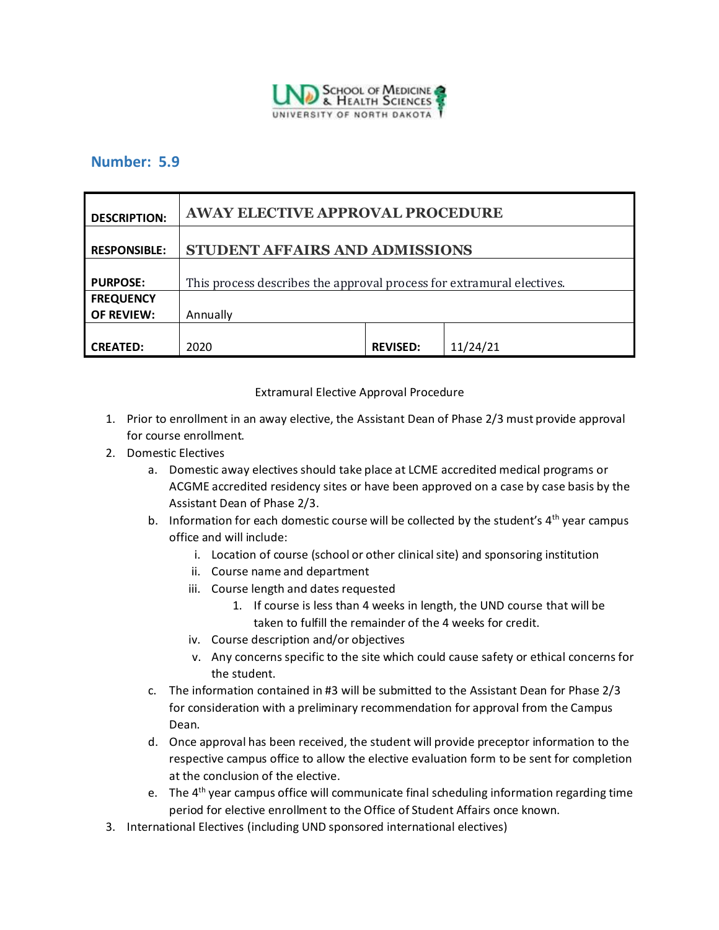

## **Number: 5.9**

| <b>DESCRIPTION:</b> | <b>AWAY ELECTIVE APPROVAL PROCEDURE</b>                               |                 |          |
|---------------------|-----------------------------------------------------------------------|-----------------|----------|
| <b>RESPONSIBLE:</b> | STUDENT AFFAIRS AND ADMISSIONS                                        |                 |          |
| <b>PURPOSE:</b>     | This process describes the approval process for extramural electives. |                 |          |
| <b>FREQUENCY</b>    |                                                                       |                 |          |
| <b>OF REVIEW:</b>   | Annually                                                              |                 |          |
|                     |                                                                       |                 |          |
| <b>CREATED:</b>     | 2020                                                                  | <b>REVISED:</b> | 11/24/21 |

## Extramural Elective Approval Procedure

- 1. Prior to enrollment in an away elective, the Assistant Dean of Phase 2/3 must provide approval for course enrollment.
- 2. Domestic Electives
	- a. Domestic away electives should take place at LCME accredited medical programs or ACGME accredited residency sites or have been approved on a case by case basis by the Assistant Dean of Phase 2/3.
	- b. Information for each domestic course will be collected by the student's  $4<sup>th</sup>$  year campus office and will include:
		- i. Location of course (school or other clinical site) and sponsoring institution
		- ii. Course name and department
		- iii. Course length and dates requested
			- 1. If course is less than 4 weeks in length, the UND course that will be taken to fulfill the remainder of the 4 weeks for credit.
		- iv. Course description and/or objectives
		- v. Any concerns specific to the site which could cause safety or ethical concerns for the student.
	- c. The information contained in #3 will be submitted to the Assistant Dean for Phase 2/3 for consideration with a preliminary recommendation for approval from the Campus Dean.
	- d. Once approval has been received, the student will provide preceptor information to the respective campus office to allow the elective evaluation form to be sent for completion at the conclusion of the elective.
	- e. The  $4<sup>th</sup>$  year campus office will communicate final scheduling information regarding time period for elective enrollment to the Office of Student Affairs once known.
- 3. International Electives (including UND sponsored international electives)